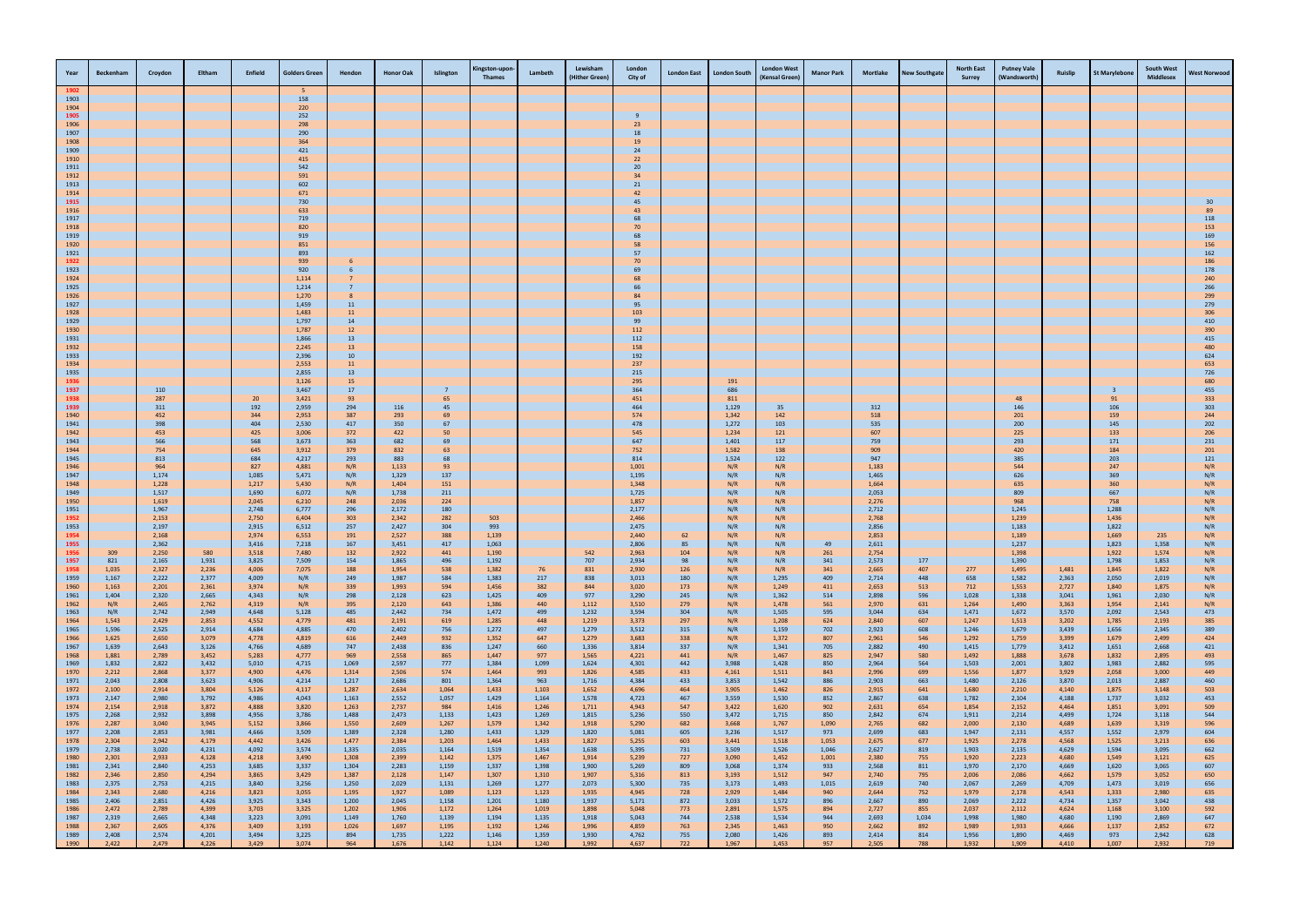| Year         | <b>Beckenham</b> | Croydon        | Eltham         | Enfield        | <b>Golders Green</b> | Hendon         | <b>Honor Oak</b> | Islington      | (ingston-upor<br><b>Thames</b> | Lambeth        | Lewisham<br>(Hither Green) | London<br>City of     | <b>London East</b> | <b>London South</b> | <b>London West</b><br>(Kensal Green) | <b>Manor Park</b> | <b>Mortlake</b> | <b>New Southgate</b> | <b>North East</b><br><b>Surrey</b> | <b>Putney Vale</b><br>(Wandsworth) | Ruislip        | <b>St Marylebone</b> | <b>South West</b><br><b>Middlesex</b> | <b>West Norwood</b> |
|--------------|------------------|----------------|----------------|----------------|----------------------|----------------|------------------|----------------|--------------------------------|----------------|----------------------------|-----------------------|--------------------|---------------------|--------------------------------------|-------------------|-----------------|----------------------|------------------------------------|------------------------------------|----------------|----------------------|---------------------------------------|---------------------|
|              |                  |                |                |                | - 5                  |                |                  |                |                                |                |                            |                       |                    |                     |                                      |                   |                 |                      |                                    |                                    |                |                      |                                       |                     |
| 1903<br>1904 |                  |                |                |                | 158<br>220           |                |                  |                |                                |                |                            |                       |                    |                     |                                      |                   |                 |                      |                                    |                                    |                |                      |                                       |                     |
| 1905         |                  |                |                |                | 252                  |                |                  |                |                                |                |                            | 9                     |                    |                     |                                      |                   |                 |                      |                                    |                                    |                |                      |                                       |                     |
| 1906<br>1907 |                  |                |                |                | 298<br>290           |                |                  |                |                                |                |                            | 23<br>18              |                    |                     |                                      |                   |                 |                      |                                    |                                    |                |                      |                                       |                     |
| 1908         |                  |                |                |                | 364                  |                |                  |                |                                |                |                            | 19                    |                    |                     |                                      |                   |                 |                      |                                    |                                    |                |                      |                                       |                     |
| 1909         |                  |                |                |                | 421                  |                |                  |                |                                |                |                            | 24                    |                    |                     |                                      |                   |                 |                      |                                    |                                    |                |                      |                                       |                     |
| 1910<br>1911 |                  |                |                |                | 415<br>542           |                |                  |                |                                |                |                            | 22<br>20 <sub>2</sub> |                    |                     |                                      |                   |                 |                      |                                    |                                    |                |                      |                                       |                     |
| 1912         |                  |                |                |                | 591                  |                |                  |                |                                |                |                            | 34                    |                    |                     |                                      |                   |                 |                      |                                    |                                    |                |                      |                                       |                     |
| 1913<br>1914 |                  |                |                |                | 602<br>671           |                |                  |                |                                |                |                            | 21<br>42              |                    |                     |                                      |                   |                 |                      |                                    |                                    |                |                      |                                       |                     |
| 1915         |                  |                |                |                | 730                  |                |                  |                |                                |                |                            | 45                    |                    |                     |                                      |                   |                 |                      |                                    |                                    |                |                      |                                       |                     |
| 1916<br>1917 |                  |                |                |                | 633<br>719           |                |                  |                |                                |                |                            | 43<br>68              |                    |                     |                                      |                   |                 |                      |                                    |                                    |                |                      |                                       | 89<br>118           |
| 1918         |                  |                |                |                | 820                  |                |                  |                |                                |                |                            | 70                    |                    |                     |                                      |                   |                 |                      |                                    |                                    |                |                      |                                       | 153                 |
| 1919<br>1920 |                  |                |                |                | 919<br>851           |                |                  |                |                                |                |                            | 68<br>58              |                    |                     |                                      |                   |                 |                      |                                    |                                    |                |                      |                                       | 169<br>156          |
| 1921         |                  |                |                |                | 893                  |                |                  |                |                                |                |                            | 57                    |                    |                     |                                      |                   |                 |                      |                                    |                                    |                |                      |                                       | 162                 |
| 1922<br>1923 |                  |                |                |                | 939<br>920           |                |                  |                |                                |                |                            | 70<br>69              |                    |                     |                                      |                   |                 |                      |                                    |                                    |                |                      |                                       | 186<br>178          |
| 1924         |                  |                |                |                | 1,114                |                |                  |                |                                |                |                            | 68                    |                    |                     |                                      |                   |                 |                      |                                    |                                    |                |                      |                                       | 240                 |
| 1925<br>1926 |                  |                |                |                | 1,214<br>1,270       |                |                  |                |                                |                |                            | 66<br>84              |                    |                     |                                      |                   |                 |                      |                                    |                                    |                |                      |                                       | 266<br>299          |
| 1927         |                  |                |                |                | 1,459                | 11             |                  |                |                                |                |                            | 95                    |                    |                     |                                      |                   |                 |                      |                                    |                                    |                |                      |                                       | 279                 |
| 1928<br>1929 |                  |                |                |                | 1,483<br>1,797       | 11<br>14       |                  |                |                                |                |                            | 103<br>99             |                    |                     |                                      |                   |                 |                      |                                    |                                    |                |                      |                                       | 306<br>410          |
| 1930         |                  |                |                |                | 1,787                | 12             |                  |                |                                |                |                            | 112                   |                    |                     |                                      |                   |                 |                      |                                    |                                    |                |                      |                                       | 390                 |
| 1931         |                  |                |                |                | 1,866                | 13             |                  |                |                                |                |                            | 112                   |                    |                     |                                      |                   |                 |                      |                                    |                                    |                |                      |                                       | 415                 |
| 1932<br>1933 |                  |                |                |                | 2,245<br>2,396       | 13<br>10       |                  |                |                                |                |                            | 158<br>192            |                    |                     |                                      |                   |                 |                      |                                    |                                    |                |                      |                                       | 480<br>624          |
| 1934         |                  |                |                |                | 2,553                | 11             |                  |                |                                |                |                            | 237                   |                    |                     |                                      |                   |                 |                      |                                    |                                    |                |                      |                                       | 653                 |
| 1935<br>1936 |                  |                |                |                | 2,855<br>3,126       | 13<br>15       |                  |                |                                |                |                            | 215<br>295            |                    | 191                 |                                      |                   |                 |                      |                                    |                                    |                |                      |                                       | 726<br>680          |
| 1937         |                  | 110            |                |                | 3,467                | 17             |                  |                |                                |                |                            | 364                   |                    | 686                 |                                      |                   |                 |                      |                                    |                                    |                | -3                   |                                       | 455                 |
| 1938<br>1939 |                  | 287<br>311     |                | 20<br>192      | 3,421<br>2,959       | 93<br>294      | 116              | 65<br>45       |                                |                |                            | 451<br>464            |                    | 811<br>1,129        | 35                                   |                   | 312             |                      |                                    | 48<br>146                          |                | 91<br>106            |                                       | 333<br>303          |
| 1940         |                  | 452            |                | 344            | 2,953                | 387            | 293              | 69             |                                |                |                            | 574                   |                    | 1,342               | 142                                  |                   | 518             |                      |                                    | 201                                |                | 159                  |                                       | 244                 |
| 1941<br>1942 |                  | 398<br>453     |                | 404<br>425     | 2,530<br>3,006       | 417<br>372     | 350<br>422       | 67<br>50       |                                |                |                            | 478<br>545            |                    | 1,272<br>1,234      | 103<br>121                           |                   | 535<br>607      |                      |                                    | 200<br>225                         |                | 145<br>133           |                                       | 202<br>206          |
| 1943         |                  | 566            |                | 568            | 3,673                | 363            | 682              | 69             |                                |                |                            | 647                   |                    | 1,401               | 117                                  |                   | 759             |                      |                                    | 293                                |                | 171                  |                                       | 231                 |
| 1944<br>1945 |                  | 754<br>813     |                | 645<br>684     | 3,912<br>4,217       | 379<br>293     | 832<br>883       | 63<br>68       |                                |                |                            | 752<br>814            |                    | 1,582<br>1,524      | 138<br>122                           |                   | 909<br>947      |                      |                                    | 420<br>385                         |                | 184<br>203           |                                       | 201<br>121          |
| 1946         |                  | 964            |                | 827            | 4,881                | N/R            | 1,133            | 93             |                                |                |                            | 1,001                 |                    | N/R                 | N/R                                  |                   | 1,183           |                      |                                    | 544                                |                | 247                  |                                       | N/R                 |
| 1947<br>1948 |                  | 1,174<br>1,228 |                | 1,085<br>1,217 | 5,471<br>5,430       | N/R<br>N/R     | 1,329<br>1,404   | 137<br>151     |                                |                |                            | 1,195<br>1,348        |                    | N/R<br>N/R          | N/R<br>N/R                           |                   | 1,465<br>1,664  |                      |                                    | 626<br>635                         |                | 369<br>360           |                                       | N/R<br>N/R          |
| 1949         |                  | 1,517          |                | 1,690          | 6,072                | N/R            | 1,738            | 211            |                                |                |                            | 1,725                 |                    | N/R                 | N/R                                  |                   | 2,053           |                      |                                    | 809                                |                | 667                  |                                       | N/R                 |
| 1950<br>1951 |                  | 1,619<br>1,967 |                | 2,045<br>2,748 | 6,210<br>6,777       | 248<br>296     | 2,036<br>2,172   | 224<br>180     |                                |                |                            | 1,857<br>2,177        |                    | N/R<br>N/R          | N/R<br>N/R                           |                   | 2,276<br>2,712  |                      |                                    | 968<br>1,245                       |                | 758<br>1,288         |                                       | N/R<br>N/R          |
| 1952         |                  | 2,153          |                | 2,750          | 6,404                | 303            | 2,342            | 282            | 503                            |                |                            | 2,466                 |                    | N/R                 | N/R                                  |                   | 2,768           |                      |                                    | 1,239                              |                | 1,436                |                                       |                     |
| 1953<br>1954 |                  | 2,197<br>2,168 |                | 2,915<br>2,974 | 6,512<br>6,553       | 257<br>191     | 2,427<br>2,527   | 304<br>388     | 993<br>1,139                   |                |                            | 2,475<br>2,440        | 62                 | N/R<br>N/R          | N/R<br>N/R                           |                   | 2,856<br>2,853  |                      |                                    | 1,183<br>1,189                     |                | 1,822<br>1,669       | 235                                   | N/R<br>N/R          |
| 1955         |                  | 2,362          |                | 3,416          | 7,218                | 167            | 3,451            | 417            | 1,063                          |                |                            | 2,806                 | 85                 | N/R                 | N/R                                  | 49                | 2,611           |                      |                                    | 1,237                              |                | 1,823                | 1,358                                 | N/R                 |
| 1956<br>1957 | 309<br>821       | 2,250<br>2,165 | 580<br>1,931   | 3,518<br>3,825 | 7,480<br>7,509       | 132<br>154     | 2,922<br>1,865   | 441<br>496     | 1,190<br>1,192                 |                | 542<br>707                 | 2,963<br>2,934        | 104<br>98          | N/R                 | N/R<br>N/R                           | 261<br>341        | 2,754<br>2,573  | 177                  |                                    | 1,398<br>1,390                     |                | 1,922<br>1,798       | 1,574<br>1,853                        |                     |
| 1958         | 1,035            | 2,327          | 2,236          | 4,006          | 7,075                | 188            | 1,954            | 538            | 1,382                          | 76             | 831                        | 2,930                 | 126                | N/R<br>N/R          | N/R                                  | 341               | 2,665           | 407                  | 277                                | 1,495                              | 1,481          | 1,845                | 1,822                                 | N/R<br>N/R          |
| 1959<br>1960 | 1,167<br>1,163   | 2,222<br>2,201 | 2,377<br>2,361 | 4,009<br>3,974 | N/R<br>N/R           | 249            | 1,987<br>1,993   | 584<br>594     | 1,383<br>1,456                 | 217<br>382     | 838<br>844                 | 3,013<br>3,020        | 180<br>173         | N/R<br>N/R          | 1,295<br>1,249                       | 409<br>411        | 2,714<br>2,653  | 448<br>513           | 658<br>712                         | 1,582<br>1,553                     | 2,363<br>2,727 | 2,050<br>1,840       | 2,019<br>1,875                        | N/R<br>N/R          |
| 1961         | 1,404            | 2,320          | 2,665          | 4,343          | N/R                  | 339<br>298     | 2,128            | 623            | 1,425                          | 409            | 977                        | 3,290                 | 245                | N/R                 | 1,362                                | 514               | 2,898           | 596                  | 1,028                              | 1,338                              | 3,041          | 1,961                | 2,030                                 | N/R                 |
| 1962<br>1963 | N/R              | 2,465          | 2,762          | 4,319          | N/R                  | 395            | 2,120            | 643            | 1,386                          | 440<br>499     | 1,112<br>1,232             | 3,510                 | 279                | N/R                 | 1,478<br>1,505                       | 561<br>595        | 2,970           | 631<br>634           | 1,264                              | 1,490                              | 3,363          | 1,954<br>2,092       | 2,141                                 | N/R                 |
| 1964         | N/R<br>1,543     | 2,742<br>2,429 | 2,949<br>2,853 | 4,648<br>4,552 | 5,128<br>4,779       | 485<br>481     | 2,442<br>2,191   | 734<br>619     | 1,472<br>1,285                 | 448            | 1,219                      | 3,594<br>3,373        | 304<br>297         | N/R<br>N/R          | 1,208                                | 624               | 3,044<br>2,840  | 607                  | 1,471<br>1,247                     | 1,672<br>1,513                     | 3,570<br>3,202 | 1,785                | 2,543<br>2,193                        | 473<br>385          |
| 1965<br>1966 | 1,596<br>1,625   | 2,525<br>2,650 | 2,914<br>3,079 | 4,684<br>4,778 | 4,885                | 470            | 2,402<br>2,449   | 756            | 1,272                          | 497<br>647     | 1,279<br>1,279             | 3,512                 | 315                | N/R                 | 1,159                                | 702<br>807        | 2,923           | 608<br>546           | 1,246                              | 1,679                              | 3,439<br>3,399 | 1,656<br>1,679       | 2,345                                 | 389                 |
| 1967         | 1,639            | 2,643          | 3,126          | 4,766          | 4,819<br>4,689       | 616<br>747     | 2,438            | 932<br>836     | 1,352<br>1,247                 | 660            | 1,336                      | 3,683<br>3,814        | 338<br>337         | N/R<br>N/R          | 1,372<br>1,341                       | 705               | 2,961<br>2,882  | 490                  | 1,292<br>1,415                     | 1,759<br>1,779                     | 3,412          | 1,651                | 2,499<br>2,668                        | 424<br>421          |
| 1968         | 1,881            | 2,789          | 3,452          | 5,283          | 4,777                | 969            | 2,558            | 865            | 1,447                          | 977            | 1,565                      | 4,221                 | 441                | N/R                 | 1,467                                | 825               | 2,947           | 580                  | 1,492                              | 1,888                              | 3,678          | 1,832                | 2,895                                 | 493                 |
| 1969<br>1970 | 1,832<br>2,212   | 2,822<br>2,868 | 3,432<br>3,377 | 5,010<br>4,900 | 4,715<br>4,476       | 1,069<br>1,314 | 2,597<br>2,506   | 777<br>574     | 1,384<br>1,464                 | 1,099<br>993   | 1,624<br>1,826             | 4,301<br>4,585        | 442<br>433         | 3,988<br>4,161      | 1,428<br>1,511                       | 850<br>843        | 2,964<br>2,996  | 564<br>699           | 1,503<br>1,556                     | 2,001<br>1,877                     | 3,802<br>3,929 | 1,983<br>2,058       | 2,882<br>3,000                        | 595<br>449          |
| 1971         | 2,043            | 2,808          | 3,623          | 4,906          | 4,214                | 1,217          | 2,686            | 801            | 1,364                          | 963            | 1,716                      | 4,384                 | 433<br>464         | 3,853               | 1,542                                | 886<br>826        | 2,903           | 663                  | 1,480                              | 2,126                              | 3,870          | 2,013                | 2,887                                 | 460                 |
| 1972<br>1973 | 2,100<br>2,147   | 2,914<br>2,980 | 3,804<br>3,792 | 5,126<br>4,986 | 4,117<br>4,043       | 1,287<br>1,163 | 2,634<br>2,552   | 1,064<br>1,057 | 1,433<br>1,429                 | 1,103<br>1,164 | 1,652<br>1,578             | 4,696<br>4,723        | 467                | 3,905<br>3,559      | 1,462<br>1,530                       | 852               | 2,915<br>2,867  | 641<br>638           | 1,680<br>1,782                     | 2,210<br>2,104                     | 4,140<br>4,188 | 1,875<br>1,737       | 3,148<br>3,032                        | 503<br>453          |
| 1974         | 2,154            | 2,918          | 3,872          | 4,888          | 3,820                | 1,263          | 2,737            | 984            | 1,416                          | 1,246          | 1,711                      | 4,943                 | 547                | 3,422               | 1,620                                | 902               | 2,631           | 654                  | 1,854                              | 2,152                              | 4,464          | 1,851                | 3,091                                 | 509                 |
| 1975<br>1976 | 2,268<br>2,287   | 2,932<br>3,040 | 3,898<br>3,945 | 4,956<br>5,152 | 3,786<br>3,866       | 1,488<br>1,550 | 2,473<br>2,609   | 1,133<br>1,267 | 1,423<br>1,579                 | 1,269<br>1,342 | 1,815<br>1,918             | 5,236<br>5,290        | 550<br>682         | 3,472<br>3,668      | 1,715<br>1,767                       | 850<br>1,090      | 2,842<br>2,765  | 674<br>682           | 1,911<br>2,000                     | 2,214<br>2,130                     | 4,499<br>4,689 | 1,724<br>1,639       | 3,118<br>3,319                        | 544<br>596          |
| 1977         | 2,208            | 2,853          | 3,981          | 4,666          | 3,509                | 1,389          | 2,328            | 1,280          | 1,433                          | 1,329          | 1,820                      | 5,081                 | 605                | 3,236               | 1,517                                | 973               | 2,699           | 683                  | 1,947                              | 2,131                              | 4,557          | 1,552                | 2,979                                 | 604                 |
| 1978<br>1979 | 2,304<br>2,738   | 2,942<br>3,020 | 4,179<br>4,231 | 4,442<br>4,092 | 3,426<br>3,574       | 1,477<br>1,335 | 2,384<br>2,035   | 1,203<br>1,164 | 1,464<br>1,519                 | 1,433<br>1,354 | 1,827<br>1,638             | 5,255<br>5,395        | 603<br>731         | 3,441<br>3,509      | 1,518<br>1,526                       | 1,053<br>1,046    | 2,675<br>2,627  | 677<br>819           | 1,925<br>1,903                     | 2,278<br>2,135                     | 4,568<br>4,629 | 1,525<br>1,594       | 3,213<br>3,095                        | 636<br>662          |
| 1980         | 2,301            | 2,933          | 4,128          | 4,218          | 3,490                | 1,308          | 2,399            | 1,142          | 1,375                          | 1,467          | 1,914                      | 5,239                 | 727                | 3,090               | 1,452                                | 1,001             | 2,380           | 755                  | 1,920                              | 2,223                              | 4,680          | 1,549                | 3,121                                 | 625                 |
| 1981<br>1982 | 2,341<br>2,346   | 2,840<br>2,850 | 4,253<br>4,294 | 3,685<br>3,865 | 3,337<br>3,429       | 1,304<br>1,387 | 2,283<br>2,128   | 1,159<br>1,147 | 1,337<br>1,307                 | 1,398<br>1,310 | 1,900<br>1,907             | 5,269<br>5,316        | 809<br>813         | 3,068<br>3,193      | 1,374<br>1,512                       | 933<br>947        | 2,568<br>2,740  | 811<br>795           | 1,970<br>2,006                     | 2,170<br>2,086                     | 4,669<br>4,662 | 1,620<br>1,579       | 3,065<br>3,052                        | 607<br>650          |
| 1983         | 2,375            | 2,753          | 4,215          | 3,840          | 3,256                | 1,250          | 2,029            | 1,131          | 1,269                          | 1,277          | 2,073                      | 5,300                 | 735                | 3,173               | 1,493                                | 1,015             | 2,619           | 740                  | 2,067                              | 2,269                              | 4,709          | 1,473                | 3,019                                 | 656                 |
| 1984<br>1985 | 2,343<br>2,406   | 2,680<br>2,851 | 4,216<br>4,426 | 3,823<br>3,925 | 3,055<br>3,343       | 1,195<br>1,200 | 1,927<br>2,045   | 1,089<br>1,158 | 1,123<br>1,201                 | 1,123<br>1,180 | 1,935<br>1,937             | 4,945<br>5,171        | 728<br>872         | 2,929<br>3,033      | 1,484<br>1,572                       | 940<br>896        | 2,644<br>2,667  | 752<br>890           | 1,979<br>2,069                     | 2,178<br>2,222                     | 4,543<br>4,734 | 1,333<br>1,357       | 2,980<br>3,042                        | 635<br>438          |
| 1986         | 2,472            | 2,789          | 4,399          | 3,703          | 3,325                | 1,202          | 1,906            | 1,172          | 1,264                          | 1,019          | 1,898                      | 5,048                 | 773                | 2,891               | 1,575                                | 894               | 2,727           | 855                  | 2,037                              | 2,112                              | 4,624          | 1,168                | 3,100                                 | 592                 |
| 1987<br>1988 | 2,319<br>2,367   | 2,665<br>2,605 | 4,348<br>4,376 | 3,223<br>3,409 | 3,091                | 1,149<br>1,026 | 1,760<br>1,697   | 1,139          | 1,194<br>1,192                 | 1,135<br>1,246 | 1,918<br>1,996             | 5,043<br>4,859        | 744<br>763         | 2,538<br>2,345      | 1,534<br>1,463                       | 944<br>950        | 2,693           | 1,034<br>892         | 1,998                              | 1,980<br>1,933                     | 4,680          | 1,190<br>1,137       | 2,869                                 | 647                 |
| 1989         | 2,408            | 2,574          | 4,201          | 3,494          | 3,193<br>3,225       | 894            | 1,735            | 1,195<br>1,222 | 1,146                          | 1,359          | 1,930                      | 4,762                 | 755                | 2,080               | 1,426                                | 893               | 2,662<br>2,414  | 814                  | 1,989<br>1,956                     | 1,890                              | 4,666<br>4,469 | 973                  | 2,852<br>2,942                        | 672<br>628          |
| 1990         | 2,422            | 2,479          | 4,226          | 3,429          | 3,074                | 964            | 1,676            | 1,142          | 1,124                          | 1,240          | 1,992                      | 4,637                 | 722                | 1,967               | 1,453                                | 957               | 2,505           | 788                  | 1,932                              | 1,909                              | 4,410          | 1,007                | 2,932                                 | 719                 |